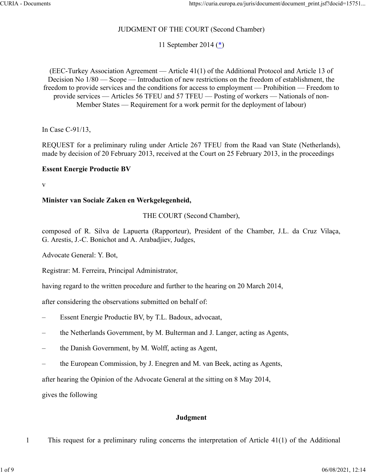# JUDGMENT OF THE COURT (Second Chamber)

11 September 2014 [\(\\*\)](https://curia.europa.eu/juris/document/document_print.jsf?docid=157519&text=&dir=&doclang=EN&part=1&occ=first&mode=req&pageIndex=1&cid=8221398#Footnote*)

(EEC-Turkey Association Agreement — Article 41(1) of the Additional Protocol and Article 13 of Decision No 1/80 — Scope — Introduction of new restrictions on the freedom of establishment, the freedom to provide services and the conditions for access to employment — Prohibition — Freedom to provide services — Articles 56 TFEU and 57 TFEU — Posting of workers — Nationals of non-Member States — Requirement for a work permit for the deployment of labour)

In Case C‑91/13,

REQUEST for a preliminary ruling under Article 267 TFEU from the Raad van State (Netherlands), made by decision of 20 February 2013, received at the Court on 25 February 2013, in the proceedings

### **Essent Energie Productie BV**

v

### **Minister van Sociale Zaken en Werkgelegenheid,**

### THE COURT (Second Chamber),

composed of R. Silva de Lapuerta (Rapporteur), President of the Chamber, J.L. da Cruz Vilaça, G. Arestis, J.-C. Bonichot and A. Arabadjiev, Judges,

Advocate General: Y. Bot,

Registrar: M. Ferreira, Principal Administrator,

having regard to the written procedure and further to the hearing on 20 March 2014,

after considering the observations submitted on behalf of:

- Essent Energie Productie BV, by T.L. Badoux, advocaat,
- the Netherlands Government, by M. Bulterman and J. Langer, acting as Agents,
- the Danish Government, by M. Wolff, acting as Agent,
- the European Commission, by J. Enegren and M. van Beek, acting as Agents,

after hearing the Opinion of the Advocate General at the sitting on 8 May 2014,

gives the following

# **Judgment**

1 This request for a preliminary ruling concerns the interpretation of Article 41(1) of the Additional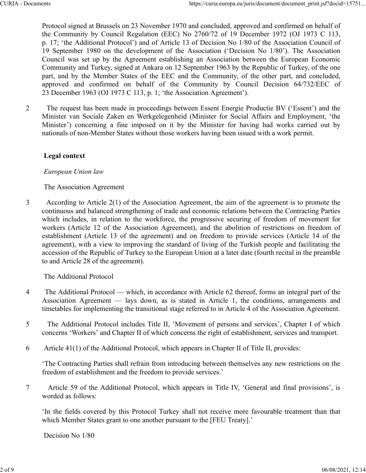Protocol signed at Brussels on 23 November 1970 and concluded, approved and confirmed on behalf of the Community by Council Regulation (EEC) No 2760/72 of 19 December 1972 (OJ 1973 C 113, p. 17; 'the Additional Protocol') and of Article 13 of Decision No 1/80 of the Association Council of 19 September 1980 on the development of the Association ('Decision No 1/80'). The Association Council was set up by the Agreement establishing an Association between the European Economic Community and Turkey, signed at Ankara on 12 September 1963 by the Republic of Turkey, of the one part, and by the Member States of the EEC and the Community, of the other part, and concluded, approved and confirmed on behalf of the Community by Council Decision 64/732/EEC of 23 December 1963 (OJ 1973 C 113, p. 1; 'the Association Agreement').

2 The request has been made in proceedings between Essent Energie Productie BV ('Essent') and the Minister van Sociale Zaken en Werkgelegenheid (Minister for Social Affairs and Employment, 'the Minister') concerning a fine imposed on it by the Minister for having had works carried out by nationals of non-Member States without those workers having been issued with a work permit.

### **Legal context**

#### *European Union law*

The Association Agreement

3 According to Article 2(1) of the Association Agreement, the aim of the agreement is to promote the continuous and balanced strengthening of trade and economic relations between the Contracting Parties which includes, in relation to the workforce, the progressive securing of freedom of movement for workers (Article 12 of the Association Agreement), and the abolition of restrictions on freedom of establishment (Article 13 of the agreement) and on freedom to provide services (Article 14 of the agreement), with a view to improving the standard of living of the Turkish people and facilitating the accession of the Republic of Turkey to the European Union at a later date (fourth recital in the preamble to and Article 28 of the agreement).

The Additional Protocol

- 4 The Additional Protocol which, in accordance with Article 62 thereof, forms an integral part of the Association Agreement — lays down, as is stated in Article 1, the conditions, arrangements and timetables for implementing the transitional stage referred to in Article 4 of the Association Agreement.
- 5 The Additional Protocol includes Title II, 'Movement of persons and services', Chapter I of which concerns 'Workers' and Chapter II of which concerns the right of establishment, services and transport.
- 6 Article 41(1) of the Additional Protocol, which appears in Chapter II of Title II, provides:

'The Contracting Parties shall refrain from introducing between themselves any new restrictions on the freedom of establishment and the freedom to provide services.'

7 Article 59 of the Additional Protocol, which appears in Title IV, 'General and final provisions', is worded as follows:

'In the fields covered by this Protocol Turkey shall not receive more favourable treatment than that which Member States grant to one another pursuant to the [FEU Treaty].'

Decision No 1/80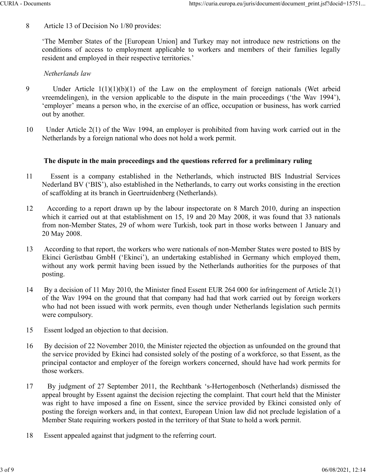8 Article 13 of Decision No 1/80 provides:

'The Member States of the [European Union] and Turkey may not introduce new restrictions on the conditions of access to employment applicable to workers and members of their families legally resident and employed in their respective territories.'

### *Netherlands law*

- 9 Under Article 1(1)(1)(b)(1) of the Law on the employment of foreign nationals (Wet arbeid vreemdelingen), in the version applicable to the dispute in the main proceedings ('the Wav 1994'), 'employer' means a person who, in the exercise of an office, occupation or business, has work carried out by another.
- 10 Under Article 2(1) of the Wav 1994, an employer is prohibited from having work carried out in the Netherlands by a foreign national who does not hold a work permit.

### **The dispute in the main proceedings and the questions referred for a preliminary ruling**

- 11 Essent is a company established in the Netherlands, which instructed BIS Industrial Services Nederland BV ('BIS'), also established in the Netherlands, to carry out works consisting in the erection of scaffolding at its branch in Geertruidenberg (Netherlands).
- 12 According to a report drawn up by the labour inspectorate on 8 March 2010, during an inspection which it carried out at that establishment on 15, 19 and 20 May 2008, it was found that 33 nationals from non-Member States, 29 of whom were Turkish, took part in those works between 1 January and 20 May 2008.
- 13 According to that report, the workers who were nationals of non-Member States were posted to BIS by Ekinci Gerüstbau GmbH ('Ekinci'), an undertaking established in Germany which employed them, without any work permit having been issued by the Netherlands authorities for the purposes of that posting.
- 14 By a decision of 11 May 2010, the Minister fined Essent EUR 264 000 for infringement of Article 2(1) of the Wav 1994 on the ground that that company had had that work carried out by foreign workers who had not been issued with work permits, even though under Netherlands legislation such permits were compulsory.
- 15 Essent lodged an objection to that decision.
- 16 By decision of 22 November 2010, the Minister rejected the objection as unfounded on the ground that the service provided by Ekinci had consisted solely of the posting of a workforce, so that Essent, as the principal contactor and employer of the foreign workers concerned, should have had work permits for those workers.
- 17 By judgment of 27 September 2011, the Rechtbank 's-Hertogenbosch (Netherlands) dismissed the appeal brought by Essent against the decision rejecting the complaint. That court held that the Minister was right to have imposed a fine on Essent, since the service provided by Ekinci consisted only of posting the foreign workers and, in that context, European Union law did not preclude legislation of a Member State requiring workers posted in the territory of that State to hold a work permit.
- 18 Essent appealed against that judgment to the referring court.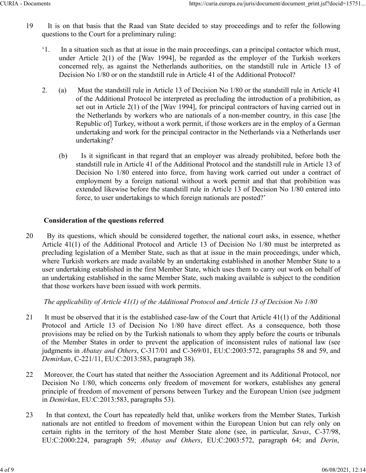- 19 It is on that basis that the Raad van State decided to stay proceedings and to refer the following questions to the Court for a preliminary ruling:
	- '1. In a situation such as that at issue in the main proceedings, can a principal contactor which must, under Article 2(1) of the [Wav 1994], be regarded as the employer of the Turkish workers concerned rely, as against the Netherlands authorities, on the standstill rule in Article 13 of Decision No 1/80 or on the standstill rule in Article 41 of the Additional Protocol?
	- 2. (a) Must the standstill rule in Article 13 of Decision No 1/80 or the standstill rule in Article 41 of the Additional Protocol be interpreted as precluding the introduction of a prohibition, as set out in Article 2(1) of the [Wav 1994], for principal contractors of having carried out in the Netherlands by workers who are nationals of a non-member country, in this case [the Republic of] Turkey, without a work permit, if those workers are in the employ of a German undertaking and work for the principal contractor in the Netherlands via a Netherlands user undertaking?
		- (b) Is it significant in that regard that an employer was already prohibited, before both the standstill rule in Article 41 of the Additional Protocol and the standstill rule in Article 13 of Decision No 1/80 entered into force, from having work carried out under a contract of employment by a foreign national without a work permit and that that prohibition was extended likewise before the standstill rule in Article 13 of Decision No 1/80 entered into force, to user undertakings to which foreign nationals are posted?'

# **Consideration of the questions referred**

20 By its questions, which should be considered together, the national court asks, in essence, whether Article 41(1) of the Additional Protocol and Article 13 of Decision No 1/80 must be interpreted as precluding legislation of a Member State, such as that at issue in the main proceedings, under which, where Turkish workers are made available by an undertaking established in another Member State to a user undertaking established in the first Member State, which uses them to carry out work on behalf of an undertaking established in the same Member State, such making available is subject to the condition that those workers have been issued with work permits.

*The applicability of Article 41(1) of the Additional Protocol and Article 13 of Decision No 1/80*

- 21 It must be observed that it is the established case-law of the Court that Article 41(1) of the Additional Protocol and Article 13 of Decision No 1/80 have direct effect. As a consequence, both those provisions may be relied on by the Turkish nationals to whom they apply before the courts or tribunals of the Member States in order to prevent the application of inconsistent rules of national law (see judgments in *Abatay and Others*, C‑317/01 and C‑369/01, EU:C:2003:572, paragraphs 58 and 59, and *Demirkan*, C‑221/11, EU:C:2013:583, paragraph 38).
- 22 Moreover, the Court has stated that neither the Association Agreement and its Additional Protocol, nor Decision No 1/80, which concerns only freedom of movement for workers, establishes any general principle of freedom of movement of persons between Turkey and the European Union (see judgment in *Demirkan*, EU:C:2013:583, paragraphs 53).
- 23 In that context, the Court has repeatedly held that, unlike workers from the Member States, Turkish nationals are not entitled to freedom of movement within the European Union but can rely only on certain rights in the territory of the host Member State alone (see, in particular, *Savas*, C‑37/98, EU:C:2000:224, paragraph 59; *Abatay and Others*, EU:C:2003:572, paragraph 64; and *Derin*,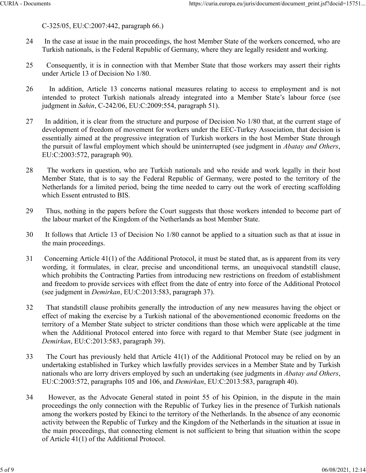C‑325/05, EU:C:2007:442, paragraph 66.)

- 24 In the case at issue in the main proceedings, the host Member State of the workers concerned, who are Turkish nationals, is the Federal Republic of Germany, where they are legally resident and working.
- 25 Consequently, it is in connection with that Member State that those workers may assert their rights under Article 13 of Decision No 1/80.
- 26 In addition, Article 13 concerns national measures relating to access to employment and is not intended to protect Turkish nationals already integrated into a Member State's labour force (see judgment in *Sahin*, C‑242/06, EU:C:2009:554, paragraph 51).
- 27 In addition, it is clear from the structure and purpose of Decision No 1/80 that, at the current stage of development of freedom of movement for workers under the EEC-Turkey Association, that decision is essentially aimed at the progressive integration of Turkish workers in the host Member State through the pursuit of lawful employment which should be uninterrupted (see judgment in *Abatay and Others*, EU:C:2003:572, paragraph 90).
- 28 The workers in question, who are Turkish nationals and who reside and work legally in their host Member State, that is to say the Federal Republic of Germany, were posted to the territory of the Netherlands for a limited period, being the time needed to carry out the work of erecting scaffolding which Essent entrusted to BIS.
- 29 Thus, nothing in the papers before the Court suggests that those workers intended to become part of the labour market of the Kingdom of the Netherlands as host Member State.
- 30 It follows that Article 13 of Decision No 1/80 cannot be applied to a situation such as that at issue in the main proceedings.
- 31 Concerning Article 41(1) of the Additional Protocol, it must be stated that, as is apparent from its very wording, it formulates, in clear, precise and unconditional terms, an unequivocal standstill clause, which prohibits the Contracting Parties from introducing new restrictions on freedom of establishment and freedom to provide services with effect from the date of entry into force of the Additional Protocol (see judgment in *Demirkan*, EU:C:2013:583, paragraph 37).
- 32 That standstill clause prohibits generally the introduction of any new measures having the object or effect of making the exercise by a Turkish national of the abovementioned economic freedoms on the territory of a Member State subject to stricter conditions than those which were applicable at the time when the Additional Protocol entered into force with regard to that Member State (see judgment in *Demirkan*, EU:C:2013:583, paragraph 39).
- 33 The Court has previously held that Article 41(1) of the Additional Protocol may be relied on by an undertaking established in Turkey which lawfully provides services in a Member State and by Turkish nationals who are lorry drivers employed by such an undertaking (see judgments in *Abatay and Others*, EU:C:2003:572, paragraphs 105 and 106, and *Demirkan*, EU:C:2013:583, paragraph 40).
- 34 However, as the Advocate General stated in point 55 of his Opinion, in the dispute in the main proceedings the only connection with the Republic of Turkey lies in the presence of Turkish nationals among the workers posted by Ekinci to the territory of the Netherlands. In the absence of any economic activity between the Republic of Turkey and the Kingdom of the Netherlands in the situation at issue in the main proceedings, that connecting element is not sufficient to bring that situation within the scope of Article 41(1) of the Additional Protocol.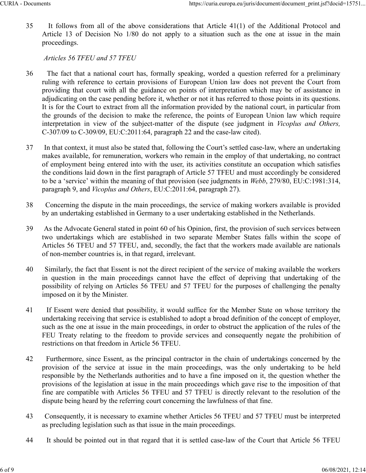35 It follows from all of the above considerations that Article 41(1) of the Additional Protocol and Article 13 of Decision No 1/80 do not apply to a situation such as the one at issue in the main proceedings.

*Articles 56 TFEU and 57 TFEU*

- 36 The fact that a national court has, formally speaking, worded a question referred for a preliminary ruling with reference to certain provisions of European Union law does not prevent the Court from providing that court with all the guidance on points of interpretation which may be of assistance in adjudicating on the case pending before it, whether or not it has referred to those points in its questions. It is for the Court to extract from all the information provided by the national court, in particular from the grounds of the decision to make the reference, the points of European Union law which require interpretation in view of the subject-matter of the dispute (see judgment in *Vicoplus and Others,* C‑307/09 to C‑309/09, EU:C:2011:64, paragraph 22 and the case-law cited).
- 37 In that context, it must also be stated that, following the Court's settled case-law, where an undertaking makes available, for remuneration, workers who remain in the employ of that undertaking, no contract of employment being entered into with the user, its activities constitute an occupation which satisfies the conditions laid down in the first paragraph of Article 57 TFEU and must accordingly be considered to be a 'service' within the meaning of that provision (see judgments in *Webb*, 279/80, EU:C:1981:314, paragraph 9, and *Vicoplus and Others*, EU:C:2011:64, paragraph 27).
- 38 Concerning the dispute in the main proceedings, the service of making workers available is provided by an undertaking established in Germany to a user undertaking established in the Netherlands.
- 39 As the Advocate General stated in point 60 of his Opinion, first, the provision of such services between two undertakings which are established in two separate Member States falls within the scope of Articles 56 TFEU and 57 TFEU, and, secondly, the fact that the workers made available are nationals of non-member countries is, in that regard, irrelevant.
- 40 Similarly, the fact that Essent is not the direct recipient of the service of making available the workers in question in the main proceedings cannot have the effect of depriving that undertaking of the possibility of relying on Articles 56 TFEU and 57 TFEU for the purposes of challenging the penalty imposed on it by the Minister.
- 41 If Essent were denied that possibility, it would suffice for the Member State on whose territory the undertaking receiving that service is established to adopt a broad definition of the concept of employer, such as the one at issue in the main proceedings, in order to obstruct the application of the rules of the FEU Treaty relating to the freedom to provide services and consequently negate the prohibition of restrictions on that freedom in Article 56 TFEU.
- 42 Furthermore, since Essent, as the principal contractor in the chain of undertakings concerned by the provision of the service at issue in the main proceedings, was the only undertaking to be held responsible by the Netherlands authorities and to have a fine imposed on it, the question whether the provisions of the legislation at issue in the main proceedings which gave rise to the imposition of that fine are compatible with Articles 56 TFEU and 57 TFEU is directly relevant to the resolution of the dispute being heard by the referring court concerning the lawfulness of that fine.
- 43 Consequently, it is necessary to examine whether Articles 56 TFEU and 57 TFEU must be interpreted as precluding legislation such as that issue in the main proceedings.
- 44 It should be pointed out in that regard that it is settled case-law of the Court that Article 56 TFEU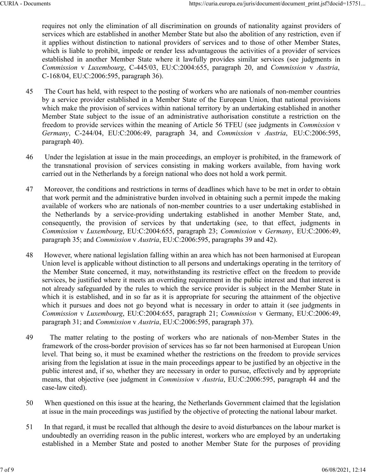requires not only the elimination of all discrimination on grounds of nationality against providers of services which are established in another Member State but also the abolition of any restriction, even if it applies without distinction to national providers of services and to those of other Member States, which is liable to prohibit, impede or render less advantageous the activities of a provider of services established in another Member State where it lawfully provides similar services (see judgments in *Commission* v *Luxembourg*, C‑445/03, EU:C:2004:655, paragraph 20, and *Commission* v *Austria*, C‑168/04, EU:C:2006:595, paragraph 36).

- 45 The Court has held, with respect to the posting of workers who are nationals of non-member countries by a service provider established in a Member State of the European Union, that national provisions which make the provision of services within national territory by an undertaking established in another Member State subject to the issue of an administrative authorisation constitute a restriction on the freedom to provide services within the meaning of Article 56 TFEU (see judgments in *Commission* v *Germany*, C‑244/04, EU:C:2006:49, paragraph 34, and *Commission* v *Austria*, EU:C:2006:595, paragraph 40).
- 46 Under the legislation at issue in the main proceedings, an employer is prohibited, in the framework of the transnational provision of services consisting in making workers available, from having work carried out in the Netherlands by a foreign national who does not hold a work permit.
- 47 Moreover, the conditions and restrictions in terms of deadlines which have to be met in order to obtain that work permit and the administrative burden involved in obtaining such a permit impede the making available of workers who are nationals of non-member countries to a user undertaking established in the Netherlands by a service-providing undertaking established in another Member State, and, consequently, the provision of services by that undertaking (see, to that effect, judgments in *Commission* v *Luxembourg*, EU:C:2004:655, paragraph 23; *Commission* v *Germany*, EU:C:2006:49, paragraph 35; and *Commission* v *Austria*, EU:C:2006:595, paragraphs 39 and 42).
- 48 However, where national legislation falling within an area which has not been harmonised at European Union level is applicable without distinction to all persons and undertakings operating in the territory of the Member State concerned, it may, notwithstanding its restrictive effect on the freedom to provide services, be justified where it meets an overriding requirement in the public interest and that interest is not already safeguarded by the rules to which the service provider is subject in the Member State in which it is established, and in so far as it is appropriate for securing the attainment of the objective which it pursues and does not go beyond what is necessary in order to attain it (see judgments in *Commission* v *Luxembourg*, EU:C:2004:655, paragraph 21; *Commission* v Germany, EU:C:2006:49, paragraph 31; and *Commission* v *Austria*, EU:C:2006:595, paragraph 37).
- 49 The matter relating to the posting of workers who are nationals of non-Member States in the framework of the cross-border provision of services has so far not been harmonised at European Union level. That being so, it must be examined whether the restrictions on the freedom to provide services arising from the legislation at issue in the main proceedings appear to be justified by an objective in the public interest and, if so, whether they are necessary in order to pursue, effectively and by appropriate means, that objective (see judgment in *Commission* v *Austria*, EU:C:2006:595, paragraph 44 and the case-law cited).
- 50 When questioned on this issue at the hearing, the Netherlands Government claimed that the legislation at issue in the main proceedings was justified by the objective of protecting the national labour market.
- 51 In that regard, it must be recalled that although the desire to avoid disturbances on the labour market is undoubtedly an overriding reason in the public interest, workers who are employed by an undertaking established in a Member State and posted to another Member State for the purposes of providing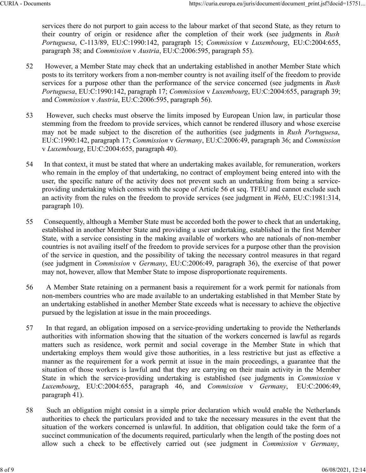services there do not purport to gain access to the labour market of that second State, as they return to their country of origin or residence after the completion of their work (see judgments in *Rush Portuguesa*, C‑113/89, EU:C:1990:142, paragraph 15; *Commission* v *Luxembourg*, EU:C:2004:655, paragraph 38; and *Commission* v *Austria*, EU:C:2006:595, paragraph 55).

- 52 However, a Member State may check that an undertaking established in another Member State which posts to its territory workers from a non-member country is not availing itself of the freedom to provide services for a purpose other than the performance of the service concerned (see judgments in *Rush Portuguesa*, EU:C:1990:142, paragraph 17; *Commission* v *Luxembourg*, EU:C:2004:655, paragraph 39; and *Commission* v *Austria*, EU:C:2006:595, paragraph 56).
- 53 However, such checks must observe the limits imposed by European Union law, in particular those stemming from the freedom to provide services, which cannot be rendered illusory and whose exercise may not be made subject to the discretion of the authorities (see judgments in *Rush Portuguesa*, EU:C:1990:142, paragraph 17; *Commission* v *Germany*, EU:C:2006:49, paragraph 36; and *Commission* v *Luxembourg*, EU:C:2004:655, paragraph 40).
- 54 In that context, it must be stated that where an undertaking makes available, for remuneration, workers who remain in the employ of that undertaking, no contract of employment being entered into with the user, the specific nature of the activity does not prevent such an undertaking from being a serviceproviding undertaking which comes with the scope of Article 56 et seq. TFEU and cannot exclude such an activity from the rules on the freedom to provide services (see judgment in *Webb*, EU:C:1981:314, paragraph 10).
- 55 Consequently, although a Member State must be accorded both the power to check that an undertaking, established in another Member State and providing a user undertaking, established in the first Member State, with a service consisting in the making available of workers who are nationals of non-member countries is not availing itself of the freedom to provide services for a purpose other than the provision of the service in question, and the possibility of taking the necessary control measures in that regard (see judgment in *Commission* v *Germany*, EU:C:2006:49, paragraph 36), the exercise of that power may not, however, allow that Member State to impose disproportionate requirements.
- 56 A Member State retaining on a permanent basis a requirement for a work permit for nationals from non-members countries who are made available to an undertaking established in that Member State by an undertaking established in another Member State exceeds what is necessary to achieve the objective pursued by the legislation at issue in the main proceedings.
- 57 In that regard, an obligation imposed on a service-providing undertaking to provide the Netherlands authorities with information showing that the situation of the workers concerned is lawful as regards matters such as residence, work permit and social coverage in the Member State in which that undertaking employs them would give those authorities, in a less restrictive but just as effective a manner as the requirement for a work permit at issue in the main proceedings, a guarantee that the situation of those workers is lawful and that they are carrying on their main activity in the Member State in which the service-providing undertaking is established (see judgments in *Commission* v *Luxembourg*, EU:C:2004:655, paragraph 46, and *Commission* v *Germany*, EU:C:2006:49, paragraph 41).
- 58 Such an obligation might consist in a simple prior declaration which would enable the Netherlands authorities to check the particulars provided and to take the necessary measures in the event that the situation of the workers concerned is unlawful. In addition, that obligation could take the form of a succinct communication of the documents required, particularly when the length of the posting does not allow such a check to be effectively carried out (see judgment in *Commission* v *Germany*,